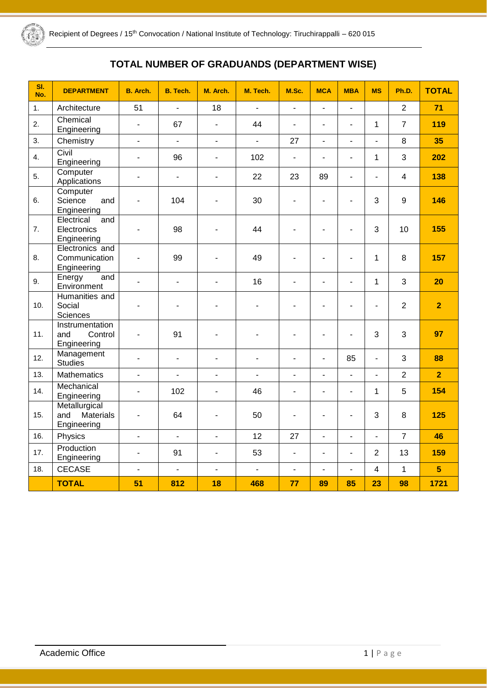

# **TOTAL NUMBER OF GRADUANDS (DEPARTMENT WISE)**

| SI.<br>No.       | <b>DEPARTMENT</b>                                | B. Arch.                 | B. Tech.                 | M. Arch.                 | M. Tech.                 | M.Sc.                    | <b>MCA</b>               | <b>MBA</b>               | <b>MS</b>                | Ph.D.          | <b>TOTAL</b>   |
|------------------|--------------------------------------------------|--------------------------|--------------------------|--------------------------|--------------------------|--------------------------|--------------------------|--------------------------|--------------------------|----------------|----------------|
| 1.               | Architecture                                     | 51                       | $\blacksquare$           | 18                       | $\overline{a}$           | $\blacksquare$           | $\overline{\phantom{0}}$ | $\overline{a}$           |                          | $\overline{2}$ | 71             |
| 2.               | Chemical<br>Engineering                          | $\blacksquare$           | 67                       | $\blacksquare$           | 44                       | $\blacksquare$           | $\blacksquare$           | L.                       | 1                        | $\overline{7}$ | 119            |
| 3.               | Chemistry                                        | $\blacksquare$           | $\frac{1}{2}$            | $\Box$                   | $\blacksquare$           | 27                       | $\blacksquare$           | $\frac{1}{2}$            | $\blacksquare$           | 8              | 35             |
| $\overline{4}$ . | Civil<br>Engineering                             | $\blacksquare$           | 96                       | $\blacksquare$           | 102                      | $\blacksquare$           | $\blacksquare$           | L,                       | 1                        | 3              | 202            |
| 5.               | Computer<br>Applications                         | $\overline{a}$           | $\overline{a}$           | ÷,                       | 22                       | 23                       | 89                       | $\overline{a}$           | $\overline{a}$           | $\overline{4}$ | 138            |
| 6.               | Computer<br>Science<br>and<br>Engineering        | $\overline{\phantom{a}}$ | 104                      | $\blacksquare$           | 30                       | $\blacksquare$           | L.                       | L.                       | 3                        | 9              | 146            |
| 7.               | Electrical<br>and<br>Electronics<br>Engineering  | L.                       | 98                       |                          | 44                       | $\overline{a}$           | ä,                       | $\overline{a}$           | 3                        | 10             | 155            |
| 8.               | Electronics and<br>Communication<br>Engineering  | $\overline{\phantom{a}}$ | 99                       | $\overline{\phantom{a}}$ | 49                       | $\overline{\phantom{a}}$ | ä,                       | $\overline{a}$           | 1                        | 8              | 157            |
| 9.               | Energy<br>and<br>Environment                     | $\overline{a}$           | $\blacksquare$           | $\overline{a}$           | 16                       | $\blacksquare$           | ÷.                       | L,                       | $\mathbf{1}$             | 3              | 20             |
| 10.              | Humanities and<br>Social<br>Sciences             | $\blacksquare$           | ۰                        |                          |                          | $\blacksquare$           | ä,                       | $\blacksquare$           | $\frac{1}{2}$            | $\overline{2}$ | $\overline{2}$ |
| 11.              | Instrumentation<br>and<br>Control<br>Engineering | $\blacksquare$           | 91                       | $\overline{a}$           |                          |                          | ۳                        |                          | 3                        | 3              | 97             |
| 12.              | Management<br><b>Studies</b>                     | $\blacksquare$           | $\blacksquare$           | $\overline{\phantom{a}}$ | $\overline{\phantom{m}}$ | $\blacksquare$           | $\blacksquare$           | 85                       | $\blacksquare$           | 3              | 88             |
| 13.              | <b>Mathematics</b>                               | $\blacksquare$           | $\overline{\phantom{a}}$ | $\Box$                   | $\blacksquare$           | $\blacksquare$           | $\overline{\phantom{a}}$ | $\frac{1}{2}$            | $\blacksquare$           | $\overline{2}$ | $\overline{2}$ |
| 14.              | Mechanical<br>Engineering                        | $\blacksquare$           | 102                      | $\overline{\phantom{a}}$ | 46                       | $\blacksquare$           | $\blacksquare$           | $\overline{\phantom{a}}$ | 1                        | 5              | 154            |
| 15.              | Metallurgical<br>Materials<br>and<br>Engineering | $\overline{a}$           | 64                       | $\overline{a}$           | 50                       | $\overline{a}$           | ÷,                       | $\overline{a}$           | 3                        | 8              | 125            |
| 16.              | Physics                                          | $\overline{a}$           | $\overline{a}$           | L.                       | 12                       | 27                       | L.                       | $\overline{a}$           | $\overline{\phantom{a}}$ | $\overline{7}$ | 46             |
| 17.              | Production<br>Engineering                        | $\overline{a}$           | 91                       | $\overline{a}$           | 53                       | $\blacksquare$           | L.                       | $\overline{a}$           | $\overline{2}$           | 13             | 159            |
| 18.              | <b>CECASE</b>                                    | $\overline{a}$           | $\overline{a}$           | $\overline{a}$           | $\overline{a}$           | $\blacksquare$           | $\overline{a}$           | $\overline{\phantom{a}}$ | 4                        | $\mathbf{1}$   | 5 <sup>5</sup> |
|                  | <b>TOTAL</b>                                     | 51                       | 812                      | 18                       | 468                      | 77                       | 89                       | 85                       | 23                       | 98             | 1721           |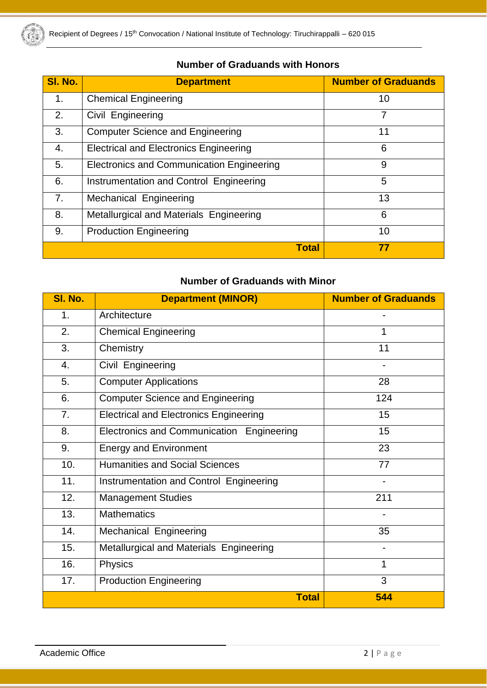

| SI. No.       | <b>Department</b>                             | <b>Number of Graduands</b> |
|---------------|-----------------------------------------------|----------------------------|
| $\mathbf 1$ . | <b>Chemical Engineering</b>                   | 10                         |
| 2.            | Civil Engineering                             | 7                          |
| 3.            | <b>Computer Science and Engineering</b>       | 11                         |
| 4.            | <b>Electrical and Electronics Engineering</b> | 6                          |
| 5.            | Electronics and Communication Engineering     | 9                          |
| 6.            | Instrumentation and Control Engineering       | 5                          |
| 7.            | <b>Mechanical Engineering</b>                 | 13                         |
| 8.            | Metallurgical and Materials Engineering       | 6                          |
| 9.            | <b>Production Engineering</b>                 | 10                         |
|               | <b>Total</b>                                  | 77                         |

### **Number of Graduands with Honors**

### **Number of Graduands with Minor**

| SI. No. | <b>Department (MINOR)</b>                     | <b>Number of Graduands</b> |
|---------|-----------------------------------------------|----------------------------|
| 1.      | Architecture                                  |                            |
| 2.      | <b>Chemical Engineering</b>                   | 1                          |
| 3.      | Chemistry                                     | 11                         |
| 4.      | Civil Engineering                             |                            |
| 5.      | <b>Computer Applications</b>                  | 28                         |
| 6.      | <b>Computer Science and Engineering</b>       | 124                        |
| 7.      | <b>Electrical and Electronics Engineering</b> | 15                         |
| 8.      | Electronics and Communication Engineering     | 15                         |
| 9.      | <b>Energy and Environment</b>                 | 23                         |
| 10.     | <b>Humanities and Social Sciences</b>         | 77                         |
| 11.     | Instrumentation and Control Engineering       |                            |
| 12.     | <b>Management Studies</b>                     | 211                        |
| 13.     | <b>Mathematics</b>                            |                            |
| 14.     | Mechanical Engineering                        | 35                         |
| 15.     | Metallurgical and Materials Engineering       |                            |
| 16.     | Physics                                       | 1                          |
| 17.     | <b>Production Engineering</b>                 | 3                          |
|         | <b>Total</b>                                  | 544                        |